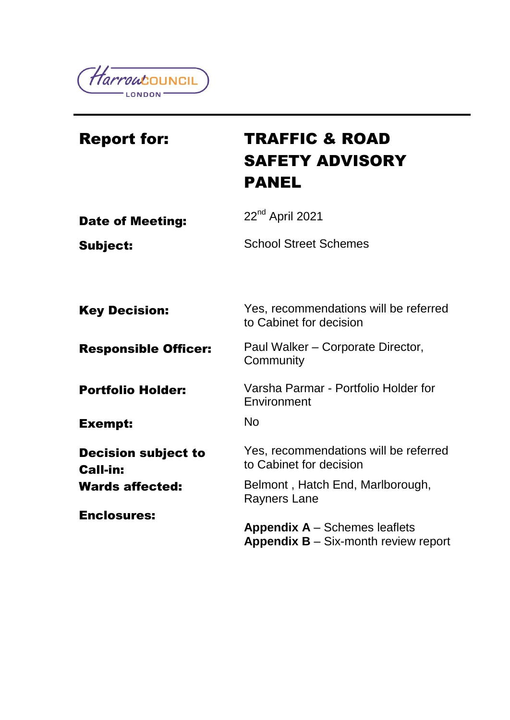

| <b>Report for:</b>                            | <b>TRAFFIC &amp; ROAD</b><br><b>SAFETY ADVISORY</b><br>PANEL                                     |
|-----------------------------------------------|--------------------------------------------------------------------------------------------------|
| <b>Date of Meeting:</b>                       | $22nd$ April 2021                                                                                |
| <b>Subject:</b>                               | <b>School Street Schemes</b>                                                                     |
| <b>Key Decision:</b>                          | Yes, recommendations will be referred<br>to Cabinet for decision                                 |
| <b>Responsible Officer:</b>                   | Paul Walker - Corporate Director,<br>Community                                                   |
| <b>Portfolio Holder:</b>                      | Varsha Parmar - Portfolio Holder for<br>Environment                                              |
| <b>Exempt:</b>                                | <b>No</b>                                                                                        |
| <b>Decision subject to</b><br><b>Call-in:</b> | Yes, recommendations will be referred<br>to Cabinet for decision                                 |
| <b>Wards affected:</b>                        | Belmont, Hatch End, Marlborough,<br><b>Rayners Lane</b>                                          |
| <b>Enclosures:</b>                            | <b>Appendix A – Schemes leaflets</b><br><b>Appendix <math>B - Six</math>-month review report</b> |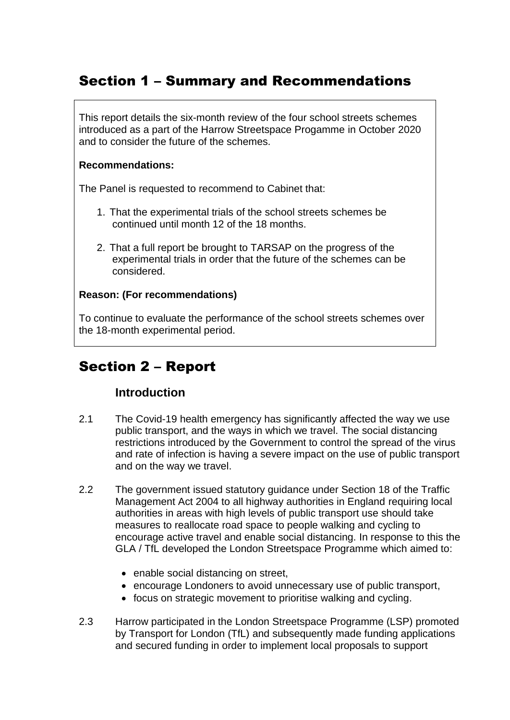# Section 1 – Summary and Recommendations

This report details the six-month review of the four school streets schemes introduced as a part of the Harrow Streetspace Progamme in October 2020 and to consider the future of the schemes.

### **Recommendations:**

The Panel is requested to recommend to Cabinet that:

- 1. That the experimental trials of the school streets schemes be continued until month 12 of the 18 months.
- 2. That a full report be brought to TARSAP on the progress of the experimental trials in order that the future of the schemes can be considered.

## **Reason: (For recommendations)**

To continue to evaluate the performance of the school streets schemes over the 18-month experimental period.

# Section 2 – Report

## **Introduction**

- 2.1 The Covid-19 health emergency has significantly affected the way we use public transport, and the ways in which we travel. The social distancing restrictions introduced by the Government to control the spread of the virus and rate of infection is having a severe impact on the use of public transport and on the way we travel.
- 2.2 The government issued statutory guidance under Section 18 of the Traffic Management Act 2004 to all highway authorities in England requiring local authorities in areas with high levels of public transport use should take measures to reallocate road space to people walking and cycling to encourage active travel and enable social distancing. In response to this the GLA / TfL developed the London Streetspace Programme which aimed to:
	- enable social distancing on street,
	- encourage Londoners to avoid unnecessary use of public transport,
	- focus on strategic movement to prioritise walking and cycling.
- 2.3 Harrow participated in the London Streetspace Programme (LSP) promoted by Transport for London (TfL) and subsequently made funding applications and secured funding in order to implement local proposals to support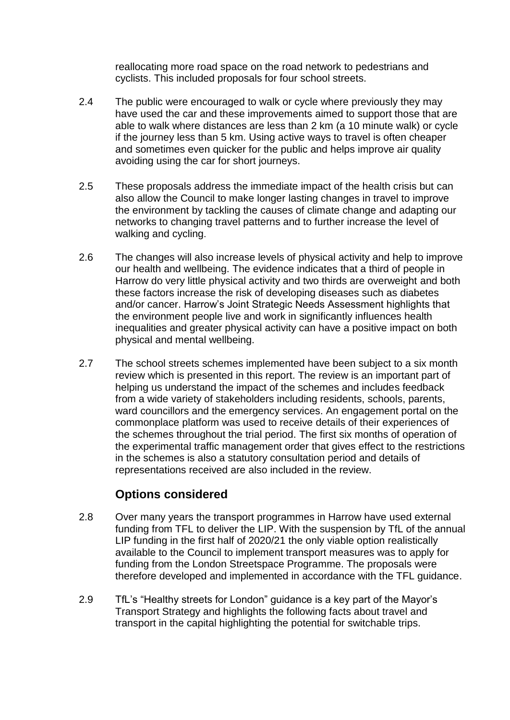reallocating more road space on the road network to pedestrians and cyclists. This included proposals for four school streets.

- 2.4 The public were encouraged to walk or cycle where previously they may have used the car and these improvements aimed to support those that are able to walk where distances are less than 2 km (a 10 minute walk) or cycle if the journey less than 5 km. Using active ways to travel is often cheaper and sometimes even quicker for the public and helps improve air quality avoiding using the car for short journeys.
- 2.5 These proposals address the immediate impact of the health crisis but can also allow the Council to make longer lasting changes in travel to improve the environment by tackling the causes of climate change and adapting our networks to changing travel patterns and to further increase the level of walking and cycling.
- 2.6 The changes will also increase levels of physical activity and help to improve our health and wellbeing. The evidence indicates that a third of people in Harrow do very little physical activity and two thirds are overweight and both these factors increase the risk of developing diseases such as diabetes and/or cancer. Harrow's Joint Strategic Needs Assessment highlights that the environment people live and work in significantly influences health inequalities and greater physical activity can have a positive impact on both physical and mental wellbeing.
- 2.7 The school streets schemes implemented have been subject to a six month review which is presented in this report. The review is an important part of helping us understand the impact of the schemes and includes feedback from a wide variety of stakeholders including residents, schools, parents, ward councillors and the emergency services. An engagement portal on the commonplace platform was used to receive details of their experiences of the schemes throughout the trial period. The first six months of operation of the experimental traffic management order that gives effect to the restrictions in the schemes is also a statutory consultation period and details of representations received are also included in the review.

## **Options considered**

- 2.8 Over many years the transport programmes in Harrow have used external funding from TFL to deliver the LIP. With the suspension by TfL of the annual LIP funding in the first half of 2020/21 the only viable option realistically available to the Council to implement transport measures was to apply for funding from the London Streetspace Programme. The proposals were therefore developed and implemented in accordance with the TFL guidance.
- 2.9 TfL's "Healthy streets for London" guidance is a key part of the Mayor's Transport Strategy and highlights the following facts about travel and transport in the capital highlighting the potential for switchable trips.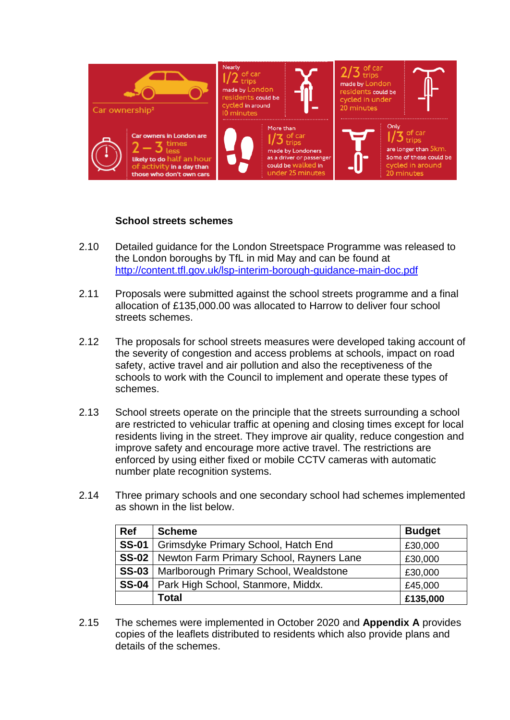

### **School streets schemes**

- 2.10 Detailed guidance for the London Streetspace Programme was released to the London boroughs by TfL in mid May and can be found at <http://content.tfl.gov.uk/lsp-interim-borough-guidance-main-doc.pdf>
- 2.11 Proposals were submitted against the school streets programme and a final allocation of £135,000.00 was allocated to Harrow to deliver four school streets schemes.
- 2.12 The proposals for school streets measures were developed taking account of the severity of congestion and access problems at schools, impact on road safety, active travel and air pollution and also the receptiveness of the schools to work with the Council to implement and operate these types of schemes.
- 2.13 School streets operate on the principle that the streets surrounding a school are restricted to vehicular traffic at opening and closing times except for local residents living in the street. They improve air quality, reduce congestion and improve safety and encourage more active travel. The restrictions are enforced by using either fixed or mobile CCTV cameras with automatic number plate recognition systems.
- 2.14 Three primary schools and one secondary school had schemes implemented as shown in the list below.

| Ref     | <b>Scheme</b>                                           | <b>Budget</b> |
|---------|---------------------------------------------------------|---------------|
|         | SS-01   Grimsdyke Primary School, Hatch End             | £30,000       |
|         | <b>SS-02</b>   Newton Farm Primary School, Rayners Lane | £30,000       |
| $SS-03$ | Marlborough Primary School, Wealdstone                  | £30,000       |
|         | SS-04   Park High School, Stanmore, Middx.              | £45,000       |
|         | <b>Total</b>                                            | £135,000      |

2.15 The schemes were implemented in October 2020 and **Appendix A** provides copies of the leaflets distributed to residents which also provide plans and details of the schemes.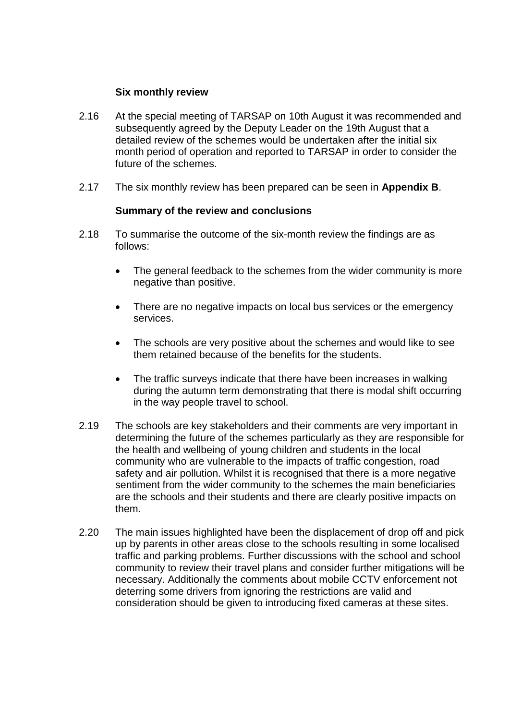#### **Six monthly review**

- 2.16 At the special meeting of TARSAP on 10th August it was recommended and subsequently agreed by the Deputy Leader on the 19th August that a detailed review of the schemes would be undertaken after the initial six month period of operation and reported to TARSAP in order to consider the future of the schemes.
- 2.17 The six monthly review has been prepared can be seen in **Appendix B**.

#### **Summary of the review and conclusions**

- 2.18 To summarise the outcome of the six-month review the findings are as follows:
	- The general feedback to the schemes from the wider community is more negative than positive.
	- There are no negative impacts on local bus services or the emergency services.
	- The schools are very positive about the schemes and would like to see them retained because of the benefits for the students.
	- The traffic surveys indicate that there have been increases in walking during the autumn term demonstrating that there is modal shift occurring in the way people travel to school.
- 2.19 The schools are key stakeholders and their comments are very important in determining the future of the schemes particularly as they are responsible for the health and wellbeing of young children and students in the local community who are vulnerable to the impacts of traffic congestion, road safety and air pollution. Whilst it is recognised that there is a more negative sentiment from the wider community to the schemes the main beneficiaries are the schools and their students and there are clearly positive impacts on them.
- 2.20 The main issues highlighted have been the displacement of drop off and pick up by parents in other areas close to the schools resulting in some localised traffic and parking problems. Further discussions with the school and school community to review their travel plans and consider further mitigations will be necessary. Additionally the comments about mobile CCTV enforcement not deterring some drivers from ignoring the restrictions are valid and consideration should be given to introducing fixed cameras at these sites.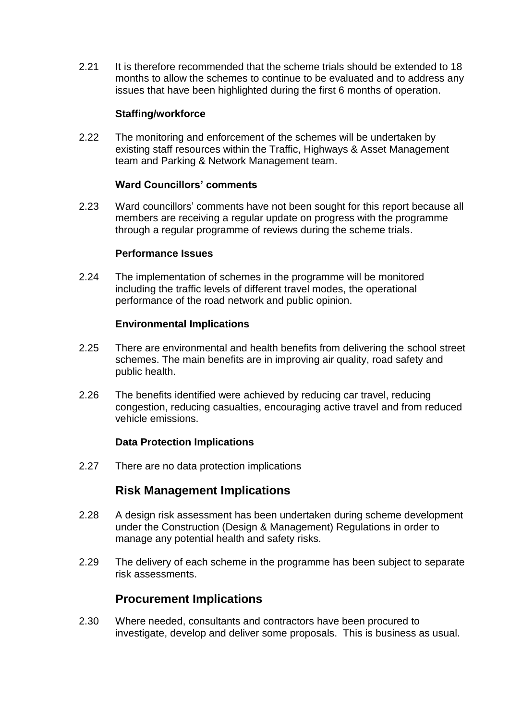2.21 It is therefore recommended that the scheme trials should be extended to 18 months to allow the schemes to continue to be evaluated and to address any issues that have been highlighted during the first 6 months of operation.

#### **Staffing/workforce**

2.22 The monitoring and enforcement of the schemes will be undertaken by existing staff resources within the Traffic, Highways & Asset Management team and Parking & Network Management team.

### **Ward Councillors' comments**

2.23 Ward councillors' comments have not been sought for this report because all members are receiving a regular update on progress with the programme through a regular programme of reviews during the scheme trials.

#### **Performance Issues**

2.24 The implementation of schemes in the programme will be monitored including the traffic levels of different travel modes, the operational performance of the road network and public opinion.

#### **Environmental Implications**

- 2.25 There are environmental and health benefits from delivering the school street schemes. The main benefits are in improving air quality, road safety and public health.
- 2.26 The benefits identified were achieved by reducing car travel, reducing congestion, reducing casualties, encouraging active travel and from reduced vehicle emissions.

#### **Data Protection Implications**

2.27 There are no data protection implications

## **Risk Management Implications**

- 2.28 A design risk assessment has been undertaken during scheme development under the Construction (Design & Management) Regulations in order to manage any potential health and safety risks.
- 2.29 The delivery of each scheme in the programme has been subject to separate risk assessments.

## **Procurement Implications**

2.30 Where needed, consultants and contractors have been procured to investigate, develop and deliver some proposals. This is business as usual.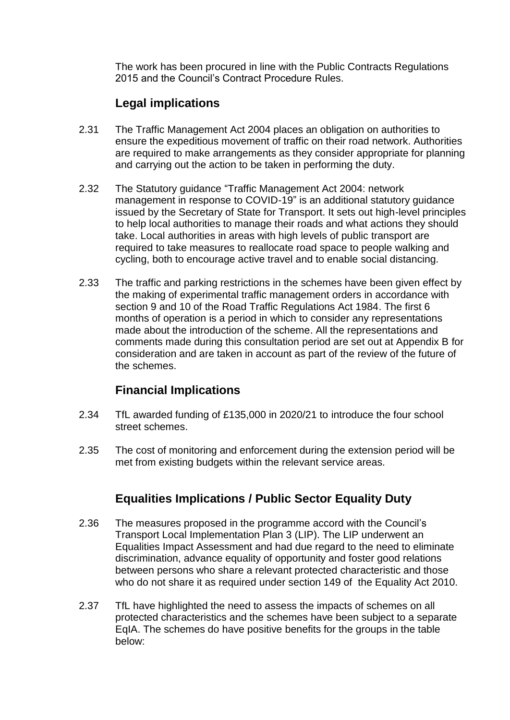The work has been procured in line with the Public Contracts Regulations 2015 and the Council's Contract Procedure Rules.

## **Legal implications**

- 2.31 The Traffic Management Act 2004 places an obligation on authorities to ensure the expeditious movement of traffic on their road network. Authorities are required to make arrangements as they consider appropriate for planning and carrying out the action to be taken in performing the duty.
- 2.32 The Statutory guidance "Traffic Management Act 2004: network management in response to COVID-19" is an additional statutory guidance issued by the Secretary of State for Transport. It sets out high-level principles to help local authorities to manage their roads and what actions they should take. Local authorities in areas with high levels of public transport are required to take measures to reallocate road space to people walking and cycling, both to encourage active travel and to enable social distancing.
- 2.33 The traffic and parking restrictions in the schemes have been given effect by the making of experimental traffic management orders in accordance with section 9 and 10 of the Road Traffic Regulations Act 1984. The first 6 months of operation is a period in which to consider any representations made about the introduction of the scheme. All the representations and comments made during this consultation period are set out at Appendix B for consideration and are taken in account as part of the review of the future of the schemes.

## **Financial Implications**

- 2.34 TfL awarded funding of £135,000 in 2020/21 to introduce the four school street schemes.
- 2.35 The cost of monitoring and enforcement during the extension period will be met from existing budgets within the relevant service areas.

## **Equalities Implications / Public Sector Equality Duty**

- 2.36 The measures proposed in the programme accord with the Council's Transport Local Implementation Plan 3 (LIP). The LIP underwent an Equalities Impact Assessment and had due regard to the need to eliminate discrimination, advance equality of opportunity and foster good relations between persons who share a relevant protected characteristic and those who do not share it as required under section 149 of the Equality Act 2010.
- 2.37 TfL have highlighted the need to assess the impacts of schemes on all protected characteristics and the schemes have been subject to a separate EqIA. The schemes do have positive benefits for the groups in the table below: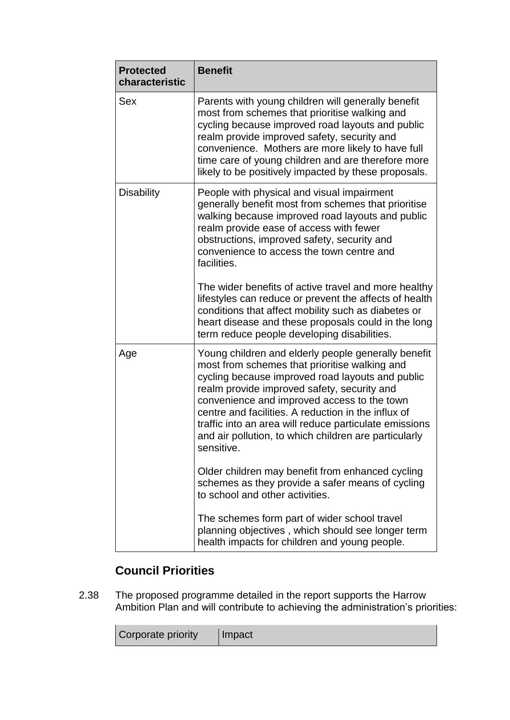| <b>Protected</b><br>characteristic | <b>Benefit</b>                                                                                                                                                                                                                                                                                                                                                                                                                                 |
|------------------------------------|------------------------------------------------------------------------------------------------------------------------------------------------------------------------------------------------------------------------------------------------------------------------------------------------------------------------------------------------------------------------------------------------------------------------------------------------|
| <b>Sex</b>                         | Parents with young children will generally benefit<br>most from schemes that prioritise walking and<br>cycling because improved road layouts and public<br>realm provide improved safety, security and<br>convenience. Mothers are more likely to have full<br>time care of young children and are therefore more<br>likely to be positively impacted by these proposals.                                                                      |
| <b>Disability</b>                  | People with physical and visual impairment<br>generally benefit most from schemes that prioritise<br>walking because improved road layouts and public<br>realm provide ease of access with fewer<br>obstructions, improved safety, security and<br>convenience to access the town centre and<br>facilities.                                                                                                                                    |
|                                    | The wider benefits of active travel and more healthy<br>lifestyles can reduce or prevent the affects of health<br>conditions that affect mobility such as diabetes or<br>heart disease and these proposals could in the long<br>term reduce people developing disabilities.                                                                                                                                                                    |
| Age                                | Young children and elderly people generally benefit<br>most from schemes that prioritise walking and<br>cycling because improved road layouts and public<br>realm provide improved safety, security and<br>convenience and improved access to the town<br>centre and facilities. A reduction in the influx of<br>traffic into an area will reduce particulate emissions<br>and air pollution, to which children are particularly<br>sensitive. |
|                                    | Older children may benefit from enhanced cycling<br>schemes as they provide a safer means of cycling<br>to school and other activities.                                                                                                                                                                                                                                                                                                        |
|                                    | The schemes form part of wider school travel<br>planning objectives, which should see longer term<br>health impacts for children and young people.                                                                                                                                                                                                                                                                                             |

## **Council Priorities**

2.38 The proposed programme detailed in the report supports the Harrow Ambition Plan and will contribute to achieving the administration's priorities:

| Corporate priority | Impact |
|--------------------|--------|
|--------------------|--------|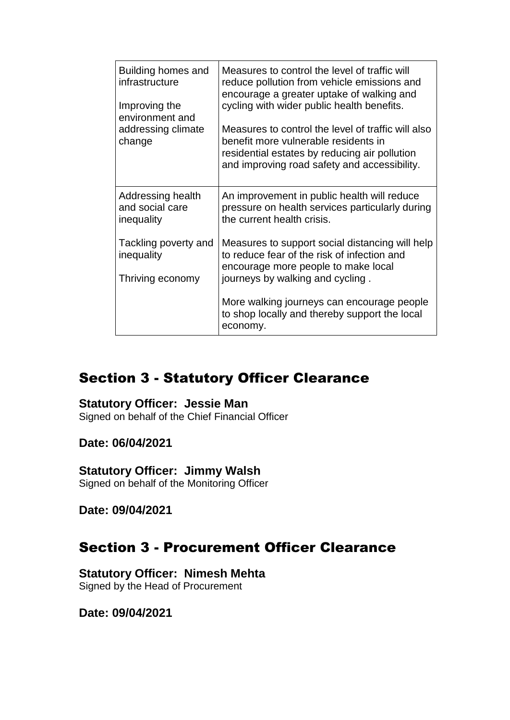| Building homes and<br>infrastructure<br>Improving the<br>environment and<br>addressing climate<br>change | Measures to control the level of traffic will<br>reduce pollution from vehicle emissions and<br>encourage a greater uptake of walking and<br>cycling with wider public health benefits.<br>Measures to control the level of traffic will also<br>benefit more vulnerable residents in<br>residential estates by reducing air pollution<br>and improving road safety and accessibility. |
|----------------------------------------------------------------------------------------------------------|----------------------------------------------------------------------------------------------------------------------------------------------------------------------------------------------------------------------------------------------------------------------------------------------------------------------------------------------------------------------------------------|
|                                                                                                          |                                                                                                                                                                                                                                                                                                                                                                                        |
| Addressing health<br>and social care<br>inequality                                                       | An improvement in public health will reduce<br>pressure on health services particularly during<br>the current health crisis.                                                                                                                                                                                                                                                           |
| Tackling poverty and<br>inequality                                                                       | Measures to support social distancing will help<br>to reduce fear of the risk of infection and<br>encourage more people to make local                                                                                                                                                                                                                                                  |
| Thriving economy                                                                                         | journeys by walking and cycling.                                                                                                                                                                                                                                                                                                                                                       |
|                                                                                                          | More walking journeys can encourage people<br>to shop locally and thereby support the local<br>economy.                                                                                                                                                                                                                                                                                |

# Section 3 - Statutory Officer Clearance

### **Statutory Officer: Jessie Man**

Signed on behalf of the Chief Financial Officer

### **Date: 06/04/2021**

## **Statutory Officer: Jimmy Walsh**

Signed on behalf of the Monitoring Officer

**Date: 09/04/2021**

## Section 3 - Procurement Officer Clearance

## **Statutory Officer: Nimesh Mehta**

Signed by the Head of Procurement

**Date: 09/04/2021**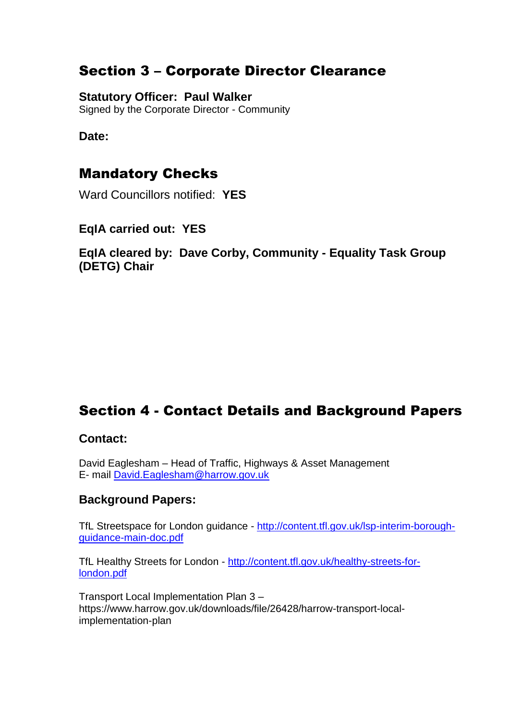# Section 3 – Corporate Director Clearance

## **Statutory Officer: Paul Walker**

Signed by the Corporate Director - Community

## **Date:**

## Mandatory Checks

Ward Councillors notified: **YES**

## **EqIA carried out: YES**

**EqIA cleared by: Dave Corby, Community - Equality Task Group (DETG) Chair**

# Section 4 - Contact Details and Background Papers

### **Contact:**

David Eaglesham – Head of Traffic, Highways & Asset Management E- mail [David.Eaglesham@harrow.gov.uk](mailto:David.Eaglesham@harrow.gov.uk)

## **Background Papers:**

TfL Streetspace for London guidance - [http://content.tfl.gov.uk/lsp-interim-borough](http://content.tfl.gov.uk/lsp-interim-borough-guidance-main-doc.pdf)[guidance-main-doc.pdf](http://content.tfl.gov.uk/lsp-interim-borough-guidance-main-doc.pdf)

TfL Healthy Streets for London - [http://content.tfl.gov.uk/healthy-streets-for](http://content.tfl.gov.uk/healthy-streets-for-london.pdf)[london.pdf](http://content.tfl.gov.uk/healthy-streets-for-london.pdf)

Transport Local Implementation Plan 3 – https://www.harrow.gov.uk/downloads/file/26428/harrow-transport-localimplementation-plan